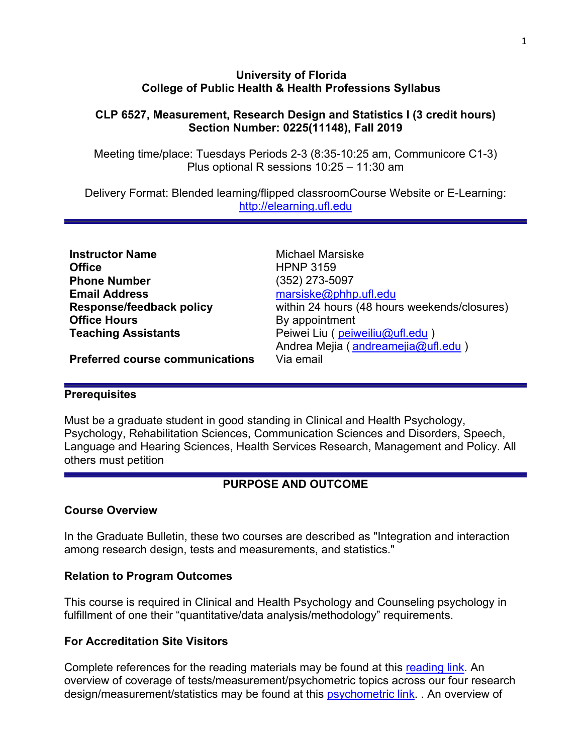#### **University of Florida College of Public Health & Health Professions Syllabus**

## **CLP 6527, Measurement, Research Design and Statistics I (3 credit hours) Section Number: 0225(11148), Fall 2019**

Meeting time/place: Tuesdays Periods 2-3 (8:35-10:25 am, Communicore C1-3) Plus optional R sessions 10:25 – 11:30 am

Delivery Format: Blended learning/flipped classroomCourse Website or E-Learning: [http://elearning.ufl.edu](http://elearning.ufl.edu/)

| <b>Instructor Name</b>                 | <b>Michael Marsiske</b>                      |
|----------------------------------------|----------------------------------------------|
| <b>Office</b>                          | <b>HPNP 3159</b>                             |
| <b>Phone Number</b>                    | $(352)$ 273-5097                             |
| <b>Email Address</b>                   | marsiske@phhp.ufl.edu                        |
| <b>Response/feedback policy</b>        | within 24 hours (48 hours weekends/closures) |
| <b>Office Hours</b>                    | By appointment                               |
| <b>Teaching Assistants</b>             | Peiwei Liu (peiweiliu@ufl.edu)               |
|                                        | Andrea Mejia (andreamejia@ufl.edu)           |
| <b>Dreferred course communications</b> | Via amail                                    |

**Preferred course communications** Via email

#### **Prerequisites**

Must be a graduate student in good standing in Clinical and Health Psychology, Psychology, Rehabilitation Sciences, Communication Sciences and Disorders, Speech, Language and Hearing Sciences, Health Services Research, Management and Policy. All others must petition

# **PURPOSE AND OUTCOME**

#### **Course Overview**

In the Graduate Bulletin, these two courses are described as "Integration and interaction among research design, tests and measurements, and statistics."

## **Relation to Program Outcomes**

This course is required in Clinical and Health Psychology and Counseling psychology in fulfillment of one their "quantitative/data analysis/methodology" requirements.

## **For Accreditation Site Visitors**

Complete references for the reading materials may be found at this [reading link.](http://phhp-marsiske.sites.medinfo.ufl.edu/for-students/classes/references-for-clp-6527652865297525-readings/) An overview of coverage of tests/measurement/psychometric topics across our four research design/measurement/statistics may be found at this **psychometric link.** . An overview of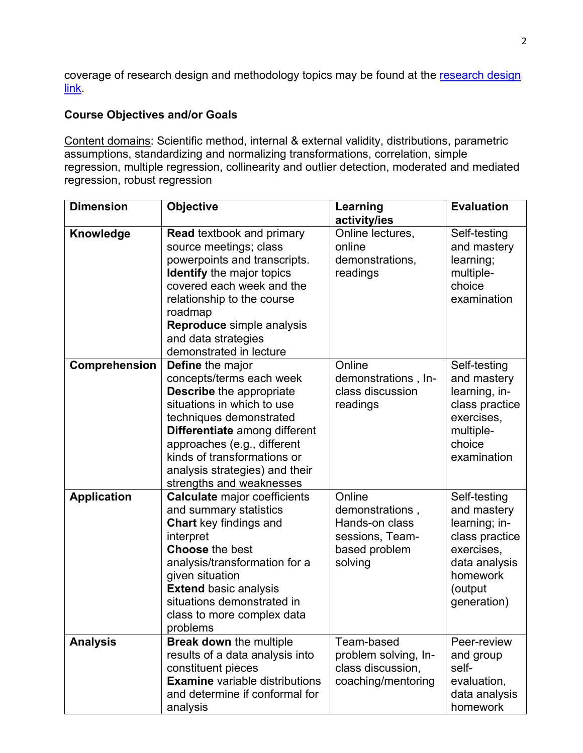coverage of [research design](http://phhp-marsiske.sites.medinfo.ufl.edu/for-students/classes/research-design-and-methods-coverage-in-clp-courses/) and methodology topics may be found at the research design [link.](http://phhp-marsiske.sites.medinfo.ufl.edu/for-students/classes/research-design-and-methods-coverage-in-clp-courses/)

# **Course Objectives and/or Goals**

Content domains: Scientific method, internal & external validity, distributions, parametric assumptions, standardizing and normalizing transformations, correlation, simple regression, multiple regression, collinearity and outlier detection, moderated and mediated regression, robust regression

| <b>Dimension</b>   | <b>Objective</b>                                                                                                                                                                                                                                                                                                    | Learning<br>activity/ies                                                                   | <b>Evaluation</b>                                                                                                                   |
|--------------------|---------------------------------------------------------------------------------------------------------------------------------------------------------------------------------------------------------------------------------------------------------------------------------------------------------------------|--------------------------------------------------------------------------------------------|-------------------------------------------------------------------------------------------------------------------------------------|
| Knowledge          | <b>Read textbook and primary</b><br>source meetings; class<br>powerpoints and transcripts.<br><b>Identify</b> the major topics<br>covered each week and the<br>relationship to the course<br>roadmap<br>Reproduce simple analysis<br>and data strategies<br>demonstrated in lecture                                 | Online lectures,<br>online<br>demonstrations,<br>readings                                  | Self-testing<br>and mastery<br>learning;<br>multiple-<br>choice<br>examination                                                      |
| Comprehension      | <b>Define</b> the major<br>concepts/terms each week<br><b>Describe</b> the appropriate<br>situations in which to use<br>techniques demonstrated<br><b>Differentiate</b> among different<br>approaches (e.g., different<br>kinds of transformations or<br>analysis strategies) and their<br>strengths and weaknesses | Online<br>demonstrations, In-<br>class discussion<br>readings                              | Self-testing<br>and mastery<br>learning, in-<br>class practice<br>exercises,<br>multiple-<br>choice<br>examination                  |
| <b>Application</b> | <b>Calculate major coefficients</b><br>and summary statistics<br><b>Chart</b> key findings and<br>interpret<br><b>Choose the best</b><br>analysis/transformation for a<br>given situation<br><b>Extend basic analysis</b><br>situations demonstrated in<br>class to more complex data<br>problems                   | Online<br>demonstrations,<br>Hands-on class<br>sessions, Team-<br>based problem<br>solving | Self-testing<br>and mastery<br>learning; in-<br>class practice<br>exercises,<br>data analysis<br>homework<br>(output<br>generation) |
| <b>Analysis</b>    | <b>Break down the multiple</b><br>results of a data analysis into<br>constituent pieces<br><b>Examine</b> variable distributions<br>and determine if conformal for<br>analysis                                                                                                                                      | Team-based<br>problem solving, In-<br>class discussion,<br>coaching/mentoring              | Peer-review<br>and group<br>self-<br>evaluation,<br>data analysis<br>homework                                                       |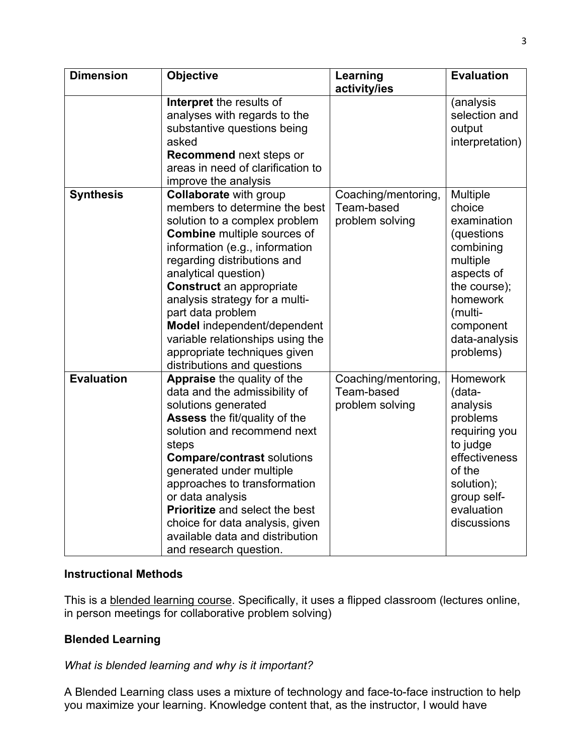| <b>Dimension</b>  | <b>Objective</b>                      | Learning            | <b>Evaluation</b> |
|-------------------|---------------------------------------|---------------------|-------------------|
|                   |                                       | activity/ies        |                   |
|                   | Interpret the results of              |                     | (analysis         |
|                   | analyses with regards to the          |                     | selection and     |
|                   | substantive questions being           |                     | output            |
|                   | asked                                 |                     | interpretation)   |
|                   | <b>Recommend next steps or</b>        |                     |                   |
|                   | areas in need of clarification to     |                     |                   |
|                   | improve the analysis                  |                     |                   |
| <b>Synthesis</b>  | <b>Collaborate with group</b>         | Coaching/mentoring, | Multiple          |
|                   | members to determine the best         | Team-based          | choice            |
|                   | solution to a complex problem         | problem solving     | examination       |
|                   | <b>Combine</b> multiple sources of    |                     | (questions)       |
|                   | information (e.g., information        |                     | combining         |
|                   | regarding distributions and           |                     | multiple          |
|                   | analytical question)                  |                     | aspects of        |
|                   | <b>Construct</b> an appropriate       |                     | the course);      |
|                   | analysis strategy for a multi-        |                     | homework          |
|                   | part data problem                     |                     | (multi-           |
|                   | Model independent/dependent           |                     | component         |
|                   | variable relationships using the      |                     | data-analysis     |
|                   | appropriate techniques given          |                     | problems)         |
|                   | distributions and questions           |                     |                   |
| <b>Evaluation</b> | Appraise the quality of the           | Coaching/mentoring, | <b>Homework</b>   |
|                   | data and the admissibility of         | Team-based          | (data-            |
|                   | solutions generated                   | problem solving     | analysis          |
|                   | <b>Assess the fit/quality of the</b>  |                     | problems          |
|                   | solution and recommend next           |                     | requiring you     |
|                   | steps                                 |                     | to judge          |
|                   | <b>Compare/contrast solutions</b>     |                     | effectiveness     |
|                   | generated under multiple              |                     | of the            |
|                   | approaches to transformation          |                     | solution);        |
|                   | or data analysis                      |                     | group self-       |
|                   | <b>Prioritize and select the best</b> |                     | evaluation        |
|                   | choice for data analysis, given       |                     | discussions       |
|                   | available data and distribution       |                     |                   |
|                   | and research question.                |                     |                   |

## **Instructional Methods**

This is a blended learning course. Specifically, it uses a flipped classroom (lectures online, in person meetings for collaborative problem solving)

# **Blended Learning**

# *What is blended learning and why is it important?*

A Blended Learning class uses a mixture of technology and face-to-face instruction to help you maximize your learning. Knowledge content that, as the instructor, I would have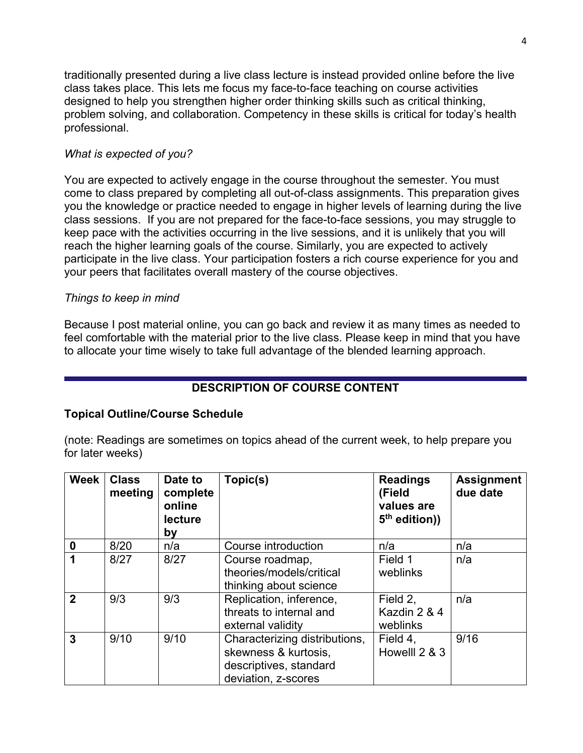traditionally presented during a live class lecture is instead provided online before the live class takes place. This lets me focus my face-to-face teaching on course activities designed to help you strengthen higher order thinking skills such as critical thinking, problem solving, and collaboration. Competency in these skills is critical for today's health professional.

## *What is expected of you?*

You are expected to actively engage in the course throughout the semester. You must come to class prepared by completing all out-of-class assignments. This preparation gives you the knowledge or practice needed to engage in higher levels of learning during the live class sessions. If you are not prepared for the face-to-face sessions, you may struggle to keep pace with the activities occurring in the live sessions, and it is unlikely that you will reach the higher learning goals of the course. Similarly, you are expected to actively participate in the live class. Your participation fosters a rich course experience for you and your peers that facilitates overall mastery of the course objectives.

# *Things to keep in mind*

Because I post material online, you can go back and review it as many times as needed to feel comfortable with the material prior to the live class. Please keep in mind that you have to allocate your time wisely to take full advantage of the blended learning approach.

# **DESCRIPTION OF COURSE CONTENT**

## **Topical Outline/Course Schedule**

(note: Readings are sometimes on topics ahead of the current week, to help prepare you for later weeks)

| <b>Week</b>      | <b>Class</b><br>meeting | Date to<br>complete<br>online<br>lecture<br>by | Topic(s)                                                                                               | <b>Readings</b><br>(Field<br>values are<br>$5th$ edition)) | <b>Assignment</b><br>due date |
|------------------|-------------------------|------------------------------------------------|--------------------------------------------------------------------------------------------------------|------------------------------------------------------------|-------------------------------|
| $\boldsymbol{0}$ | 8/20                    | n/a                                            | Course introduction                                                                                    | n/a                                                        | n/a                           |
|                  | 8/27                    | 8/27                                           | Course roadmap,<br>theories/models/critical<br>thinking about science                                  | Field 1<br>weblinks                                        | n/a                           |
| $\overline{2}$   | 9/3                     | 9/3                                            | Replication, inference,<br>threats to internal and<br>external validity                                | Field 2,<br>Kazdin 2 & 4<br>weblinks                       | n/a                           |
| 3                | 9/10                    | 9/10                                           | Characterizing distributions,<br>skewness & kurtosis,<br>descriptives, standard<br>deviation, z-scores | Field 4,<br>Howelll 2 & 3                                  | 9/16                          |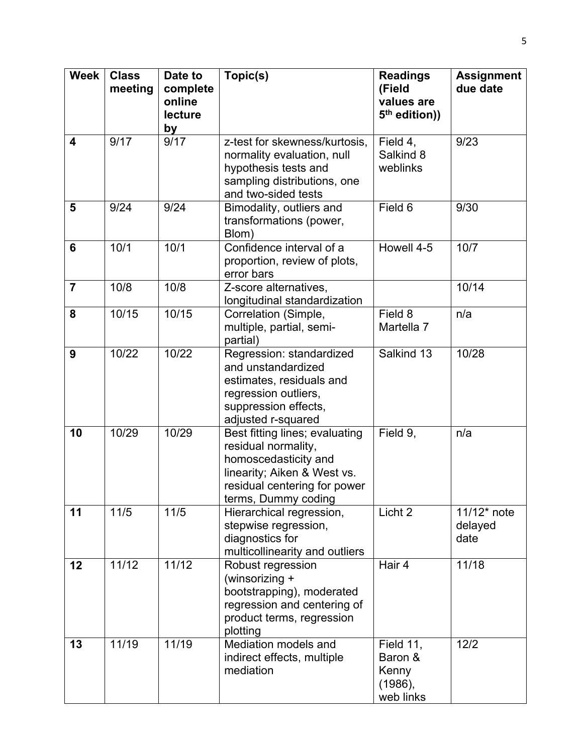| <b>Week</b>             | <b>Class</b><br>meeting | Date to<br>complete<br>online<br>lecture | Topic(s)                                                                                                                                                            | <b>Readings</b><br>(Field<br>values are<br>5 <sup>th</sup> edition)) | <b>Assignment</b><br>due date     |
|-------------------------|-------------------------|------------------------------------------|---------------------------------------------------------------------------------------------------------------------------------------------------------------------|----------------------------------------------------------------------|-----------------------------------|
|                         |                         | by                                       |                                                                                                                                                                     |                                                                      |                                   |
| $\overline{\mathbf{4}}$ | 9/17                    | 9/17                                     | z-test for skewness/kurtosis,<br>normality evaluation, null<br>hypothesis tests and<br>sampling distributions, one<br>and two-sided tests                           | Field 4,<br>Salkind 8<br>weblinks                                    | 9/23                              |
| 5                       | 9/24                    | 9/24                                     | Bimodality, outliers and<br>transformations (power,<br>Blom)                                                                                                        | Field 6                                                              | 9/30                              |
| 6                       | 10/1                    | 10/1                                     | Confidence interval of a<br>proportion, review of plots,<br>error bars                                                                                              | Howell 4-5                                                           | 10/7                              |
| $\overline{7}$          | 10/8                    | 10/8                                     | Z-score alternatives,<br>longitudinal standardization                                                                                                               |                                                                      | 10/14                             |
| 8                       | 10/15                   | 10/15                                    | Correlation (Simple,<br>multiple, partial, semi-<br>partial)                                                                                                        | Field 8<br>Martella 7                                                | n/a                               |
| 9                       | 10/22                   | 10/22                                    | Regression: standardized<br>and unstandardized<br>estimates, residuals and<br>regression outliers,<br>suppression effects,<br>adjusted r-squared                    | Salkind 13                                                           | 10/28                             |
| 10                      | 10/29                   | 10/29                                    | Best fitting lines; evaluating<br>residual normality,<br>homoscedasticity and<br>linearity; Aiken & West vs.<br>residual centering for power<br>terms, Dummy coding | Field 9,                                                             | n/a                               |
| 11                      | $11/5$                  | $11/5$                                   | Hierarchical regression,<br>stepwise regression,<br>diagnostics for<br>multicollinearity and outliers                                                               | Licht 2                                                              | $11/12$ * note<br>delayed<br>date |
| 12                      | 11/12                   | 11/12                                    | Robust regression<br>(winsorizing +<br>bootstrapping), moderated<br>regression and centering of<br>product terms, regression<br>plotting                            | Hair 4                                                               | 11/18                             |
| 13                      | 11/19                   | 11/19                                    | Mediation models and<br>indirect effects, multiple<br>mediation                                                                                                     | Field 11,<br>Baron &<br>Kenny<br>$(1986)$ ,<br>web links             | $12/2$                            |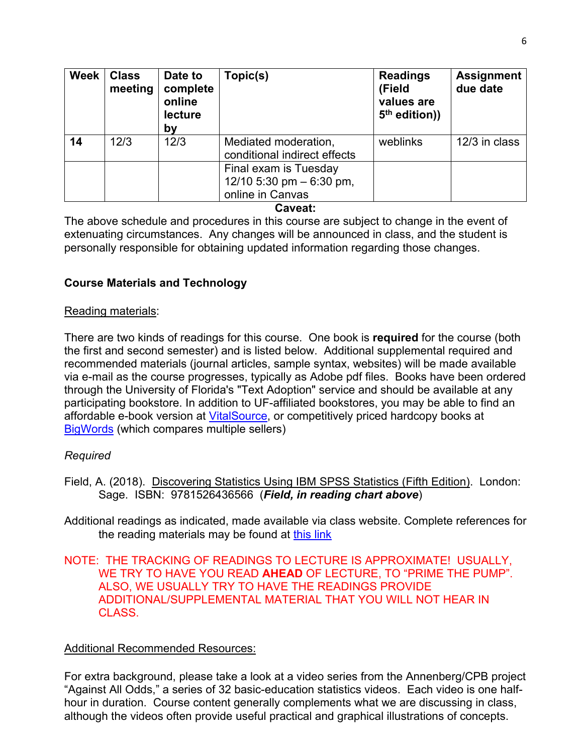| Week | <b>Class</b><br>meeting | Date to<br>complete<br>online<br>lecture<br>by | Topic(s)                                                                | <b>Readings</b><br>(Field<br>values are<br>5 <sup>th</sup> edition)) | <b>Assignment</b><br>due date |
|------|-------------------------|------------------------------------------------|-------------------------------------------------------------------------|----------------------------------------------------------------------|-------------------------------|
| 14   | 12/3                    | 12/3                                           | Mediated moderation,<br>conditional indirect effects                    | weblinks                                                             | 12/3 in class                 |
|      |                         |                                                | Final exam is Tuesday<br>12/10 5:30 pm $-$ 6:30 pm,<br>online in Canvas |                                                                      |                               |

#### **Caveat:**

The above schedule and procedures in this course are subject to change in the event of extenuating circumstances. Any changes will be announced in class, and the student is personally responsible for obtaining updated information regarding those changes.

# **Course Materials and Technology**

## Reading materials:

There are two kinds of readings for this course. One book is **required** for the course (both the first and second semester) and is listed below. Additional supplemental required and recommended materials (journal articles, sample syntax, websites) will be made available via e-mail as the course progresses, typically as Adobe pdf files. Books have been ordered through the University of Florida's "Text Adoption" service and should be available at any participating bookstore. In addition to UF-affiliated bookstores, you may be able to find an affordable e-book version at [VitalSource,](http://vitalsource.com/) or competitively priced hardcopy books at [BigWords](http://bigwords.com/) (which compares multiple sellers)

# *Required*

- Field, A. (2018). Discovering Statistics Using IBM SPSS Statistics (Fifth Edition). London: Sage. ISBN: 9781526436566 (*Field, in reading chart above*)
- Additional readings as indicated, made available via class website. Complete references for the reading materials may be found at [this link](http://phhp-marsiske.sites.medinfo.ufl.edu/for-students/classes/references-for-clp-6527652865297525-readings/)

## NOTE: THE TRACKING OF READINGS TO LECTURE IS APPROXIMATE! USUALLY, WE TRY TO HAVE YOU READ **AHEAD** OF LECTURE, TO "PRIME THE PUMP". ALSO, WE USUALLY TRY TO HAVE THE READINGS PROVIDE ADDITIONAL/SUPPLEMENTAL MATERIAL THAT YOU WILL NOT HEAR IN CLASS.

# Additional Recommended Resources:

For extra background, please take a look at a video series from the Annenberg/CPB project "Against All Odds," a series of 32 basic-education statistics videos. Each video is one halfhour in duration. Course content generally complements what we are discussing in class, although the videos often provide useful practical and graphical illustrations of concepts.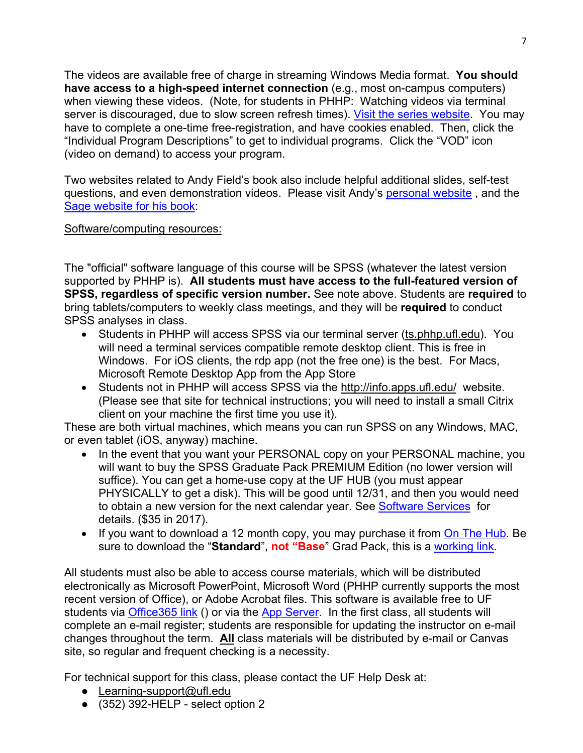The videos are available free of charge in streaming Windows Media format. **You should have access to a high-speed internet connection** (e.g., most on-campus computers) when viewing these videos. (Note, for students in PHHP: Watching videos via terminal server is discouraged, due to slow screen refresh times). [Visit the series website.](http://www.learner.org/resources/series65.html) You may have to complete a one-time free-registration, and have cookies enabled. Then, click the "Individual Program Descriptions" to get to individual programs. Click the "VOD" icon (video on demand) to access your program.

Two websites related to Andy Field's book also include helpful additional slides, self-test questions, and even demonstration videos. Please visit Andy's [personal website](http://www.statisticshell.com/html/apf.html), and the [Sage website for his book:](https://studysites.sagepub.com/field4e/main.htm)

## Software/computing resources:

The "official" software language of this course will be SPSS (whatever the latest version supported by PHHP is). **All students must have access to the full-featured version of SPSS, regardless of specific version number.** See note above. Students are **required** to bring tablets/computers to weekly class meetings, and they will be **required** to conduct SPSS analyses in class.

- Students in PHHP will access SPSS via our terminal server (ts.phhp.ufl.edu). You will need a terminal services compatible remote desktop client. This is free in Windows. For iOS clients, the rdp app (not the free one) is the best. For Macs, Microsoft Remote Desktop App from the App Store
- Students not in PHHP will access SPSS via the http://info.apps.ufl.edu/ website. (Please see that site for technical instructions; you will need to install a small Citrix client on your machine the first time you use it).

These are both virtual machines, which means you can run SPSS on any Windows, MAC, or even tablet (iOS, anyway) machine.

- In the event that you want your PERSONAL copy on your PERSONAL machine, you will want to buy the SPSS Graduate Pack PREMIUM Edition (no lower version will suffice). You can get a home-use copy at the UF HUB (you must appear PHYSICALLY to get a disk). This will be good until 12/31, and then you would need to obtain a new version for the next calendar year. See [Software Services](http://helpdesk.ufl.edu/software-services/spss/) for details. (\$35 in 2017).
- If you want to download a 12 month copy, you may purchase it from [On The Hub.](http://onthehub.com/) Be sure to download the "**Standard**", **not "Base**" Grad Pack, this is a [working link.](https://estore.onthehub.com/WebStore/OfferingsOfMajorVersionList.aspx?pmv=12c7bd0a-436e-e511-9411-b8ca3a5db7a1&cmi_mnuMain=2ff73789-74c7-e011-ae14-f04da23e67f6&cmi_mnuMain_child=2a1143f0-74c7-e011-ae14-f04da23e67f6&utm_source=SPSSstatistics-productpage-statistics&utm_medium=onthehub-productpage&utm_campaign=SPSS)

All students must also be able to access course materials, which will be distributed electronically as Microsoft PowerPoint, Microsoft Word (PHHP currently supports the most recent version of Office), or Adobe Acrobat files. This software is available free to UF students via [Office365 link](http://www.it.ufl.edu/2015/01/free-office-365-downloads-available-to-faculty-and-staff/) () or via the [App Server.](http://apps.ufl.edu/) In the first class, all students will complete an e-mail register; students are responsible for updating the instructor on e-mail changes throughout the term. **All** class materials will be distributed by e-mail or Canvas site, so regular and frequent checking is a necessity.

For technical support for this class, please contact the UF Help Desk at:

- Learning-support@ufl.edu
- $\bullet$  (352) 392-HELP select option 2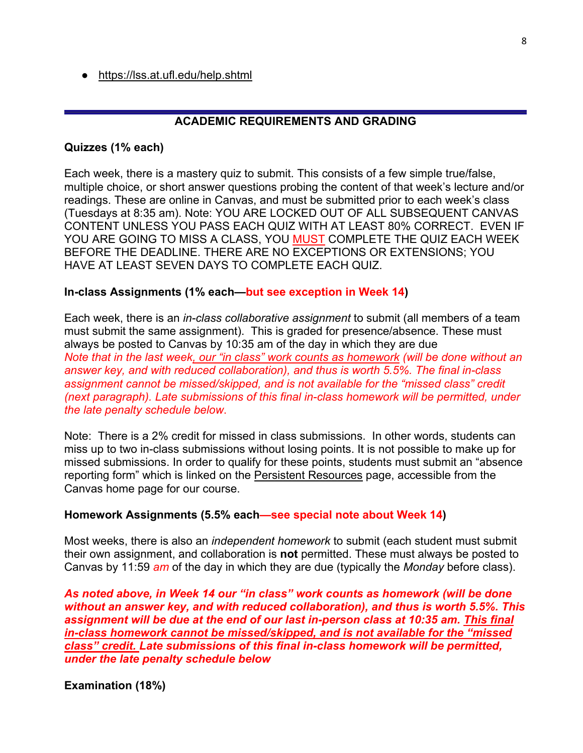● <https://lss.at.ufl.edu/help.shtml>

## **ACADEMIC REQUIREMENTS AND GRADING**

#### **Quizzes (1% each)**

Each week, there is a mastery quiz to submit. This consists of a few simple true/false, multiple choice, or short answer questions probing the content of that week's lecture and/or readings. These are online in Canvas, and must be submitted prior to each week's class (Tuesdays at 8:35 am). Note: YOU ARE LOCKED OUT OF ALL SUBSEQUENT CANVAS CONTENT UNLESS YOU PASS EACH QUIZ WITH AT LEAST 80% CORRECT. EVEN IF YOU ARE GOING TO MISS A CLASS, YOU MUST COMPLETE THE QUIZ EACH WEEK BEFORE THE DEADLINE. THERE ARE NO EXCEPTIONS OR EXTENSIONS; YOU HAVE AT LEAST SEVEN DAYS TO COMPLETE EACH QUIZ.

#### **In-class Assignments (1% each—but see exception in Week 14)**

Each week, there is an *in-class collaborative assignment* to submit (all members of a team must submit the same assignment). This is graded for presence/absence. These must always be posted to Canvas by 10:35 am of the day in which they are due *Note that in the last week, our "in class" work counts as homework (will be done without an answer key, and with reduced collaboration), and thus is worth 5.5%. The final in-class assignment cannot be missed/skipped, and is not available for the "missed class" credit (next paragraph). Late submissions of this final in-class homework will be permitted, under the late penalty schedule below*.

Note: There is a 2% credit for missed in class submissions. In other words, students can miss up to two in-class submissions without losing points. It is not possible to make up for missed submissions. In order to qualify for these points, students must submit an "absence reporting form" which is linked on the Persistent Resources page, accessible from the Canvas home page for our course.

#### **Homework Assignments (5.5% each—see special note about Week 14)**

Most weeks, there is also an *independent homework* to submit (each student must submit their own assignment, and collaboration is **not** permitted. These must always be posted to Canvas by 11:59 *am* of the day in which they are due (typically the *Monday* before class).

*As noted above, in Week 14 our "in class" work counts as homework (will be done without an answer key, and with reduced collaboration), and thus is worth 5.5%. This assignment will be due at the end of our last in-person class at 10:35 am. This final in-class homework cannot be missed/skipped, and is not available for the "missed class" credit. Late submissions of this final in-class homework will be permitted, under the late penalty schedule below*

**Examination (18%)**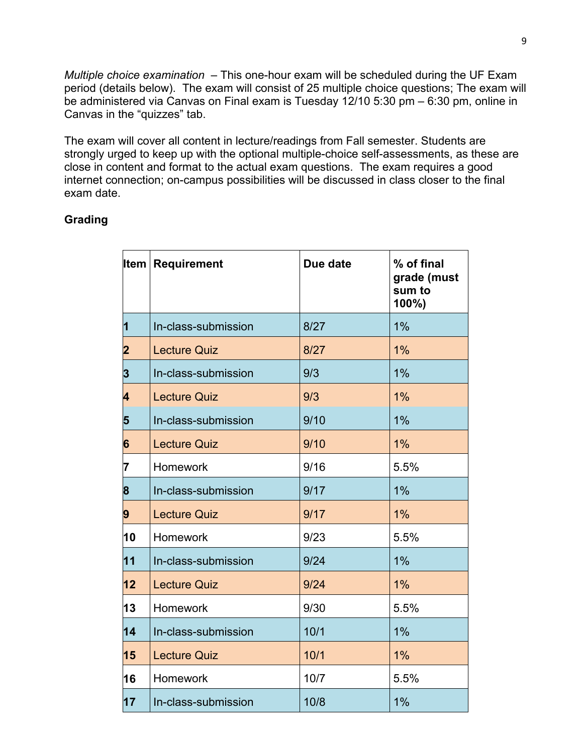*Multiple choice examination* – This one-hour exam will be scheduled during the UF Exam period (details below). The exam will consist of 25 multiple choice questions; The exam will be administered via Canvas on Final exam is Tuesday 12/10 5:30 pm – 6:30 pm, online in Canvas in the "quizzes" tab.

The exam will cover all content in lecture/readings from Fall semester. Students are strongly urged to keep up with the optional multiple-choice self-assessments, as these are close in content and format to the actual exam questions. The exam requires a good internet connection; on-campus possibilities will be discussed in class closer to the final exam date.

# **Grading**

| Item                    | Requirement         | Due date | % of final<br>grade (must<br>sum to<br>100%) |
|-------------------------|---------------------|----------|----------------------------------------------|
| $\overline{\mathbf{1}}$ | In-class-submission | 8/27     | 1%                                           |
| $\overline{\mathbf{2}}$ | <b>Lecture Quiz</b> | 8/27     | 1%                                           |
| 3                       | In-class-submission | 9/3      | 1%                                           |
| 4                       | <b>Lecture Quiz</b> | 9/3      | 1%                                           |
| 5                       | In-class-submission | 9/10     | 1%                                           |
| 6                       | <b>Lecture Quiz</b> | 9/10     | 1%                                           |
| 7                       | Homework            | 9/16     | 5.5%                                         |
| 8                       | In-class-submission | 9/17     | 1%                                           |
| 9                       | <b>Lecture Quiz</b> | 9/17     | $1\%$                                        |
| 10                      | Homework            | 9/23     | 5.5%                                         |
| 11                      | In-class-submission | 9/24     | 1%                                           |
| 12                      | <b>Lecture Quiz</b> | 9/24     | 1%                                           |
| 13                      | Homework            | 9/30     | 5.5%                                         |
| 14                      | In-class-submission | 10/1     | $1\%$                                        |
| 15                      | <b>Lecture Quiz</b> | 10/1     | $1\%$                                        |
| 16                      | <b>Homework</b>     | 10/7     | 5.5%                                         |
| 17                      | In-class-submission | 10/8     | 1%                                           |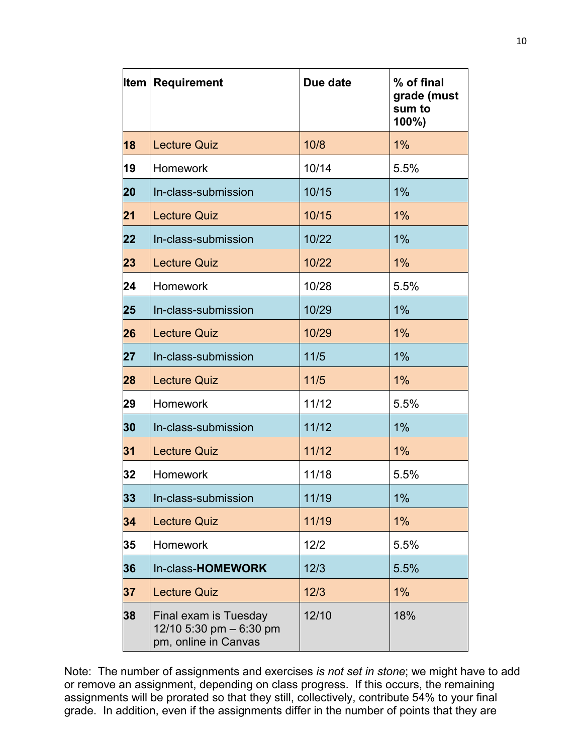| Item | <b>Requirement</b>                                                        | Due date | % of final<br>grade (must<br>sum to<br>100%) |
|------|---------------------------------------------------------------------------|----------|----------------------------------------------|
| 18   | <b>Lecture Quiz</b>                                                       | 10/8     | 1%                                           |
| 19   | <b>Homework</b>                                                           | 10/14    | 5.5%                                         |
| 20   | In-class-submission                                                       | 10/15    | 1%                                           |
| 21   | <b>Lecture Quiz</b>                                                       | 10/15    | 1%                                           |
| 22   | In-class-submission                                                       | 10/22    | 1%                                           |
| 23   | <b>Lecture Quiz</b>                                                       | 10/22    | 1%                                           |
| 24   | Homework                                                                  | 10/28    | 5.5%                                         |
| 25   | In-class-submission                                                       | 10/29    | 1%                                           |
| 26   | <b>Lecture Quiz</b>                                                       | 10/29    | 1%                                           |
| 27   | In-class-submission                                                       | 11/5     | 1%                                           |
| 28   | <b>Lecture Quiz</b>                                                       | $11/5$   | 1%                                           |
| 29   | <b>Homework</b>                                                           | 11/12    | 5.5%                                         |
| 30   | In-class-submission                                                       | 11/12    | $1\%$                                        |
| 31   | <b>Lecture Quiz</b>                                                       | 11/12    | 1%                                           |
| 32   | <b>Homework</b>                                                           | 11/18    | 5.5%                                         |
| 33   | In-class-submission                                                       | 11/19    | 1%                                           |
| 34   | <b>Lecture Quiz</b>                                                       | 11/19    | 1%                                           |
| 35   | <b>Homework</b>                                                           | 12/2     | 5.5%                                         |
| 36   | In-class-HOMEWORK                                                         | 12/3     | 5.5%                                         |
| 37   | <b>Lecture Quiz</b>                                                       | 12/3     | 1%                                           |
| 38   | Final exam is Tuesday<br>12/10 5:30 pm $-6:30$ pm<br>pm, online in Canvas | 12/10    | 18%                                          |

Note: The number of assignments and exercises *is not set in stone*; we might have to add or remove an assignment, depending on class progress. If this occurs, the remaining assignments will be prorated so that they still, collectively, contribute 54% to your final grade. In addition, even if the assignments differ in the number of points that they are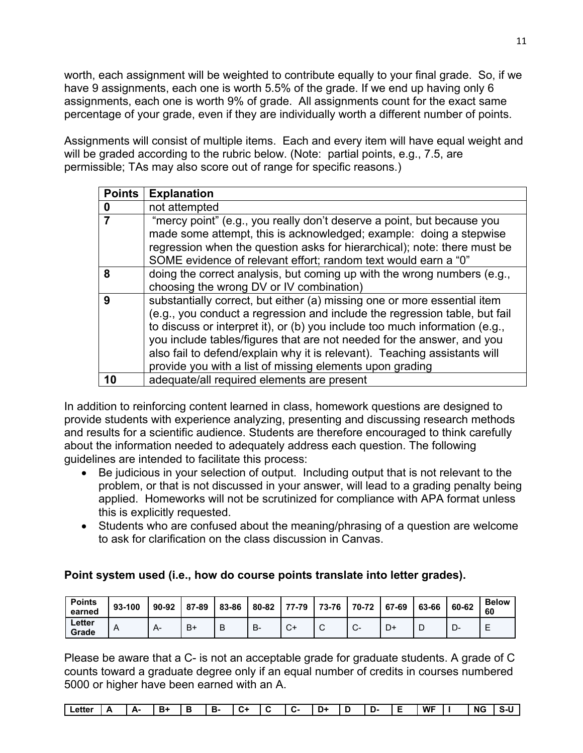worth, each assignment will be weighted to contribute equally to your final grade. So, if we have 9 assignments, each one is worth 5.5% of the grade. If we end up having only 6 assignments, each one is worth 9% of grade. All assignments count for the exact same percentage of your grade, even if they are individually worth a different number of points.

Assignments will consist of multiple items. Each and every item will have equal weight and will be graded according to the rubric below. (Note: partial points, e.g., 7.5, are permissible; TAs may also score out of range for specific reasons.)

| <b>Points</b> | <b>Explanation</b>                                                                                                                                                                                                                                                                                                                                                                                                                                       |
|---------------|----------------------------------------------------------------------------------------------------------------------------------------------------------------------------------------------------------------------------------------------------------------------------------------------------------------------------------------------------------------------------------------------------------------------------------------------------------|
| 0             | not attempted                                                                                                                                                                                                                                                                                                                                                                                                                                            |
|               | "mercy point" (e.g., you really don't deserve a point, but because you<br>made some attempt, this is acknowledged; example: doing a stepwise<br>regression when the question asks for hierarchical); note: there must be<br>SOME evidence of relevant effort; random text would earn a "0"                                                                                                                                                               |
| 8             | doing the correct analysis, but coming up with the wrong numbers (e.g.,<br>choosing the wrong DV or IV combination)                                                                                                                                                                                                                                                                                                                                      |
| 9             | substantially correct, but either (a) missing one or more essential item<br>(e.g., you conduct a regression and include the regression table, but fail<br>to discuss or interpret it), or (b) you include too much information (e.g.,<br>you include tables/figures that are not needed for the answer, and you<br>also fail to defend/explain why it is relevant). Teaching assistants will<br>provide you with a list of missing elements upon grading |
| 10            | adequate/all required elements are present                                                                                                                                                                                                                                                                                                                                                                                                               |

In addition to reinforcing content learned in class, homework questions are designed to provide students with experience analyzing, presenting and discussing research methods and results for a scientific audience. Students are therefore encouraged to think carefully about the information needed to adequately address each question. The following guidelines are intended to facilitate this process:

- Be judicious in your selection of output. Including output that is not relevant to the problem, or that is not discussed in your answer, will lead to a grading penalty being applied. Homeworks will not be scrutinized for compliance with APA format unless this is explicitly requested.
- Students who are confused about the meaning/phrasing of a question are welcome to ask for clarification on the class discussion in Canvas.

# **Point system used (i.e., how do course points translate into letter grades).**

| <b>Points</b><br>earned | 93-100    | 90-92 | 87-89 | 83-86 | 80-82 | 77-79 | 73-76 70-72 |        | 67-69 | 63-66 | 60-62 | <b>Below</b><br>60 |
|-------------------------|-----------|-------|-------|-------|-------|-------|-------------|--------|-------|-------|-------|--------------------|
| Letter<br>Grade         | $\forall$ |       | $B+$  | B     | B-    |       | ⌒<br>ັ      | $\sim$ | D+    |       | יש-   | -<br>-             |

Please be aware that a C- is not an acceptable grade for graduate students. A grade of C counts toward a graduate degree only if an equal number of credits in courses numbered 5000 or higher have been earned with an A.

| $\overline{\phantom{0}}$<br><b>WF</b><br><b>NG</b><br>. .<br>в.<br>в<br>-<br>D+<br>∟etter<br>- 11<br>--<br>∸-<br>--<br>.<br>. .<br>. .<br>--<br><br><br>. .<br><br><br>. . |
|----------------------------------------------------------------------------------------------------------------------------------------------------------------------------|
|----------------------------------------------------------------------------------------------------------------------------------------------------------------------------|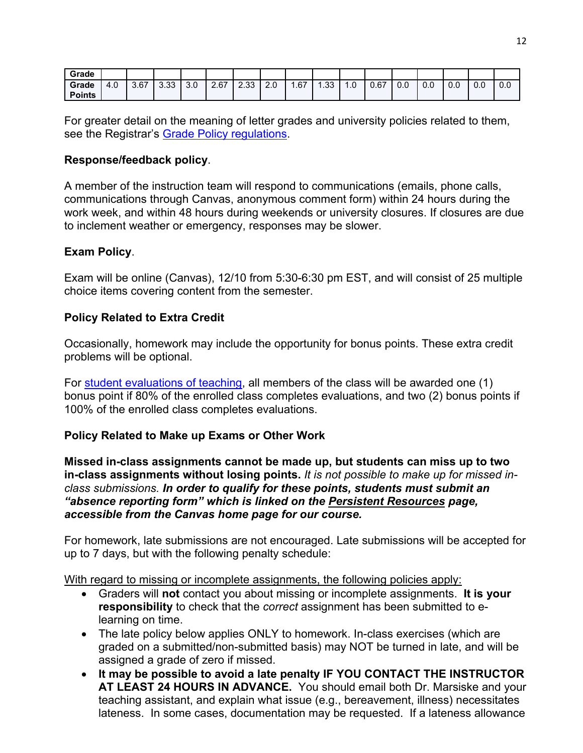| Grade         |                           |      |      |     |      |            |     |     |     |     |      |     |     |     |     |     |
|---------------|---------------------------|------|------|-----|------|------------|-----|-----|-----|-----|------|-----|-----|-----|-----|-----|
| Grade         | $\sim$<br>4. <sub>0</sub> | 3.67 | 3.33 | 3.0 | 2.67 | റാ<br>دد.∠ | 2.0 | .67 | .33 | 1.0 | 0.67 | 0.0 | 0.0 | 0.0 | 0.0 | 0.0 |
| <b>Points</b> |                           |      |      |     |      |            |     |     |     |     |      |     |     |     |     |     |

For greater detail on the meaning of letter grades and university policies related to them, see the Registrar's Grade Policy [regulations.](http://catalog.ufl.edu/ugrad/current/regulations/info/grades.aspx)

## **Response/feedback policy**.

A member of the instruction team will respond to communications (emails, phone calls, communications through Canvas, anonymous comment form) within 24 hours during the work week, and within 48 hours during weekends or university closures. If closures are due to inclement weather or emergency, responses may be slower.

## **Exam Policy**.

Exam will be online (Canvas), 12/10 from 5:30-6:30 pm EST, and will consist of 25 multiple choice items covering content from the semester.

# **Policy Related to Extra Credit**

Occasionally, homework may include the opportunity for bonus points. These extra credit problems will be optional.

For [student evaluations of teaching,](https://ufl.blueera.com/ufl/) all members of the class will be awarded one (1) bonus point if 80% of the enrolled class completes evaluations, and two (2) bonus points if 100% of the enrolled class completes evaluations.

# **Policy Related to Make up Exams or Other Work**

**Missed in-class assignments cannot be made up, but students can miss up to two in-class assignments without losing points.** *It is not possible to make up for missed inclass submissions. In order to qualify for these points, students must submit an "absence reporting form" which is linked on the Persistent Resources page, accessible from the Canvas home page for our course.* 

For homework, late submissions are not encouraged. Late submissions will be accepted for up to 7 days, but with the following penalty schedule:

With regard to missing or incomplete assignments, the following policies apply:

- Graders will **not** contact you about missing or incomplete assignments. **It is your responsibility** to check that the *correct* assignment has been submitted to elearning on time.
- The late policy below applies ONLY to homework. In-class exercises (which are graded on a submitted/non-submitted basis) may NOT be turned in late, and will be assigned a grade of zero if missed.
- **It may be possible to avoid a late penalty IF YOU CONTACT THE INSTRUCTOR AT LEAST 24 HOURS IN ADVANCE.** You should email both Dr. Marsiske and your teaching assistant, and explain what issue (e.g., bereavement, illness) necessitates lateness. In some cases, documentation may be requested. If a lateness allowance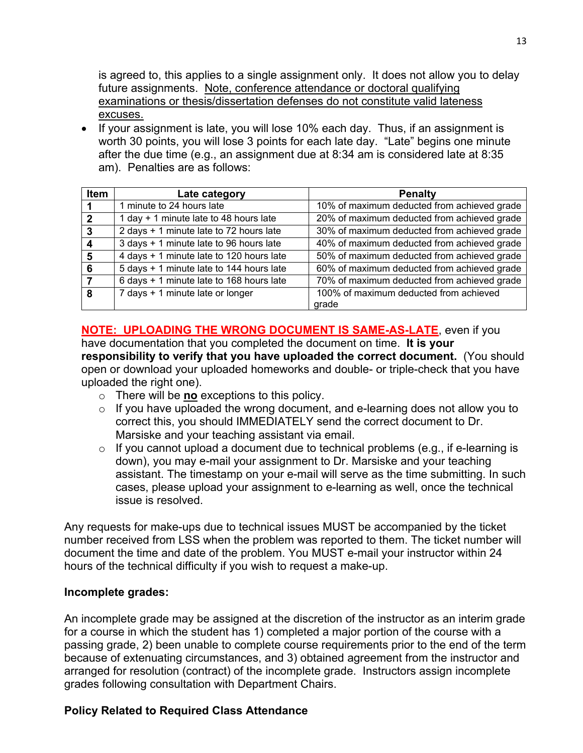is agreed to, this applies to a single assignment only. It does not allow you to delay future assignments. Note, conference attendance or doctoral qualifying examinations or thesis/dissertation defenses do not constitute valid lateness excuses.

• If your assignment is late, you will lose 10% each day. Thus, if an assignment is worth 30 points, you will lose 3 points for each late day. "Late" begins one minute after the due time (e.g., an assignment due at 8:34 am is considered late at 8:35 am). Penalties are as follows:

| Item         | Late category                            | <b>Penalty</b>                              |
|--------------|------------------------------------------|---------------------------------------------|
|              | 1 minute to 24 hours late                | 10% of maximum deducted from achieved grade |
| $\mathbf{c}$ | 1 day + 1 minute late to 48 hours late   | 20% of maximum deducted from achieved grade |
| 3            | 2 days + 1 minute late to 72 hours late  | 30% of maximum deducted from achieved grade |
|              | 3 days + 1 minute late to 96 hours late  | 40% of maximum deducted from achieved grade |
| 5            | 4 days + 1 minute late to 120 hours late | 50% of maximum deducted from achieved grade |
| 6            | 5 days + 1 minute late to 144 hours late | 60% of maximum deducted from achieved grade |
|              | 6 days + 1 minute late to 168 hours late | 70% of maximum deducted from achieved grade |
| 8            | 7 days + 1 minute late or longer         | 100% of maximum deducted from achieved      |
|              |                                          | arade                                       |

**NOTE: UPLOADING THE WRONG DOCUMENT IS SAME-AS-LATE**, even if you have documentation that you completed the document on time. **It is your responsibility to verify that you have uploaded the correct document.** (You should open or download your uploaded homeworks and double- or triple-check that you have uploaded the right one).

- o There will be **no** exceptions to this policy.
- $\circ$  If you have uploaded the wrong document, and e-learning does not allow you to correct this, you should IMMEDIATELY send the correct document to Dr. Marsiske and your teaching assistant via email.
- $\circ$  If you cannot upload a document due to technical problems (e.g., if e-learning is down), you may e-mail your assignment to Dr. Marsiske and your teaching assistant. The timestamp on your e-mail will serve as the time submitting. In such cases, please upload your assignment to e-learning as well, once the technical issue is resolved.

Any requests for make-ups due to technical issues MUST be accompanied by the ticket number received from LSS when the problem was reported to them. The ticket number will document the time and date of the problem. You MUST e-mail your instructor within 24 hours of the technical difficulty if you wish to request a make-up.

## **Incomplete grades:**

An incomplete grade may be assigned at the discretion of the instructor as an interim grade for a course in which the student has 1) completed a major portion of the course with a passing grade, 2) been unable to complete course requirements prior to the end of the term because of extenuating circumstances, and 3) obtained agreement from the instructor and arranged for resolution (contract) of the incomplete grade. Instructors assign incomplete grades following consultation with Department Chairs.

# **Policy Related to Required Class Attendance**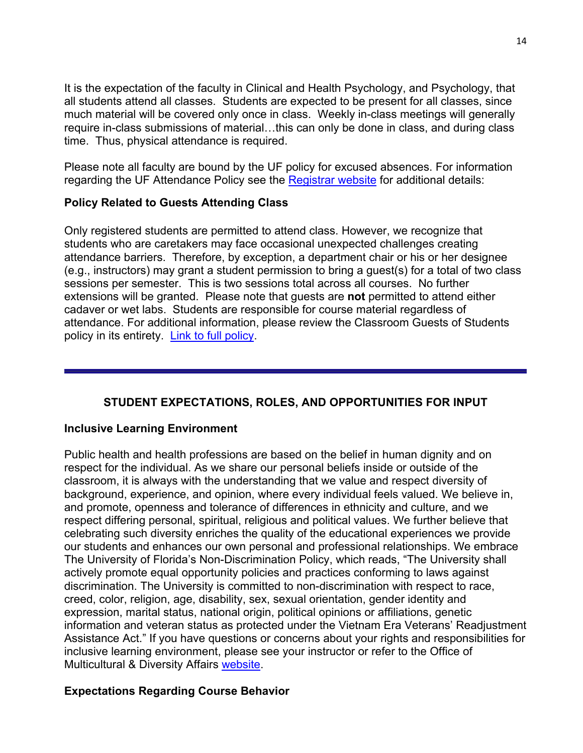It is the expectation of the faculty in Clinical and Health Psychology, and Psychology, that all students attend all classes. Students are expected to be present for all classes, since much material will be covered only once in class. Weekly in-class meetings will generally require in-class submissions of material…this can only be done in class, and during class time. Thus, physical attendance is required.

Please note all faculty are bound by the UF policy for excused absences. For information regarding the UF Attendance Policy see the [Registrar website](http://www.registrar.ufl.edu/catalogarchive/01-02-catalog/academic_regulations/academic_regulations_013_.htm) for additional details:

# **Policy Related to Guests Attending Class**

Only registered students are permitted to attend class. However, we recognize that students who are caretakers may face occasional unexpected challenges creating attendance barriers. Therefore, by exception, a department chair or his or her designee (e.g., instructors) may grant a student permission to bring a guest(s) for a total of two class sessions per semester. This is two sessions total across all courses. No further extensions will be granted. Please note that guests are **not** permitted to attend either cadaver or wet labs. Students are responsible for course material regardless of attendance. For additional information, please review the Classroom Guests of Students policy in its entirety. [Link to full policy.](http://facstaff.phhp.ufl.edu/services/resourceguide/getstarted.htm)

# **STUDENT EXPECTATIONS, ROLES, AND OPPORTUNITIES FOR INPUT**

## **Inclusive Learning Environment**

Public health and health professions are based on the belief in human dignity and on respect for the individual. As we share our personal beliefs inside or outside of the classroom, it is always with the understanding that we value and respect diversity of background, experience, and opinion, where every individual feels valued. We believe in, and promote, openness and tolerance of differences in ethnicity and culture, and we respect differing personal, spiritual, religious and political values. We further believe that celebrating such diversity enriches the quality of the educational experiences we provide our students and enhances our own personal and professional relationships. We embrace The University of Florida's Non-Discrimination Policy, which reads, "The University shall actively promote equal opportunity policies and practices conforming to laws against discrimination. The University is committed to non-discrimination with respect to race, creed, color, religion, age, disability, sex, sexual orientation, gender identity and expression, marital status, national origin, political opinions or affiliations, genetic information and veteran status as protected under the Vietnam Era Veterans' Readjustment Assistance Act." If you have questions or concerns about your rights and responsibilities for inclusive learning environment, please see your instructor or refer to the Office of Multicultural & Diversity Affairs [website.](http://www.multicultural.ufl.edu/)

# **Expectations Regarding Course Behavior**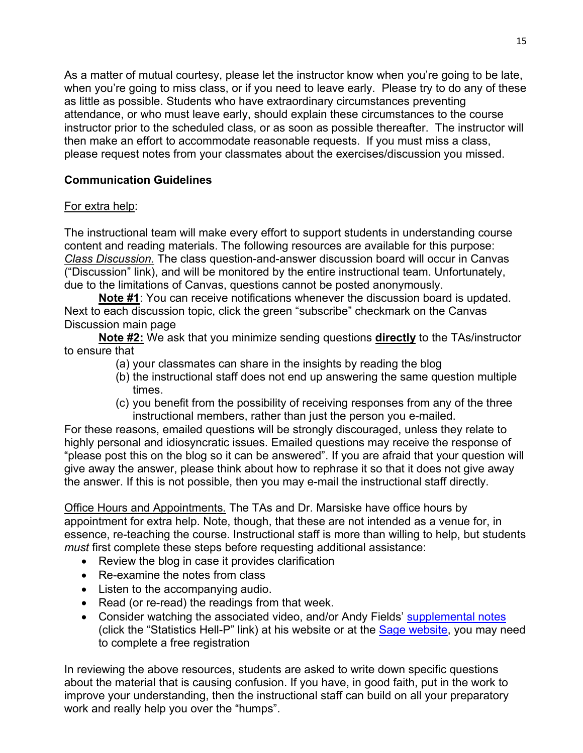As a matter of mutual courtesy, please let the instructor know when you're going to be late, when you're going to miss class, or if you need to leave early. Please try to do any of these as little as possible. Students who have extraordinary circumstances preventing attendance, or who must leave early, should explain these circumstances to the course instructor prior to the scheduled class, or as soon as possible thereafter. The instructor will then make an effort to accommodate reasonable requests. If you must miss a class, please request notes from your classmates about the exercises/discussion you missed.

# **Communication Guidelines**

# For extra help:

The instructional team will make every effort to support students in understanding course content and reading materials. The following resources are available for this purpose: *Class Discussion.* The class question-and-answer discussion board will occur in Canvas ("Discussion" link), and will be monitored by the entire instructional team. Unfortunately, due to the limitations of Canvas, questions cannot be posted anonymously.

**Note #1**: You can receive notifications whenever the discussion board is updated. Next to each discussion topic, click the green "subscribe" checkmark on the Canvas Discussion main page

**Note #2:** We ask that you minimize sending questions **directly** to the TAs/instructor to ensure that

- (a) your classmates can share in the insights by reading the blog
- (b) the instructional staff does not end up answering the same question multiple times.
- (c) you benefit from the possibility of receiving responses from any of the three instructional members, rather than just the person you e-mailed.

For these reasons, emailed questions will be strongly discouraged, unless they relate to highly personal and idiosyncratic issues. Emailed questions may receive the response of "please post this on the blog so it can be answered". If you are afraid that your question will give away the answer, please think about how to rephrase it so that it does not give away the answer. If this is not possible, then you may e-mail the instructional staff directly.

Office Hours and Appointments*.* The TAs and Dr. Marsiske have office hours by appointment for extra help. Note, though, that these are not intended as a venue for, in essence, re-teaching the course. Instructional staff is more than willing to help, but students *must* first complete these steps before requesting additional assistance:

- Review the blog in case it provides clarification
- Re-examine the notes from class
- Listen to the accompanying audio.
- Read (or re-read) the readings from that week.
- Consider watching the associated video, and/or Andy Fields' [supplemental notes](http://www.statisticshell.com/apf.html) (click the "Statistics Hell-P" link) at his website or at the [Sage website,](http://www.sagepub.com/field4e/main.htm) you may need to complete a free registration

In reviewing the above resources, students are asked to write down specific questions about the material that is causing confusion. If you have, in good faith, put in the work to improve your understanding, then the instructional staff can build on all your preparatory work and really help you over the "humps".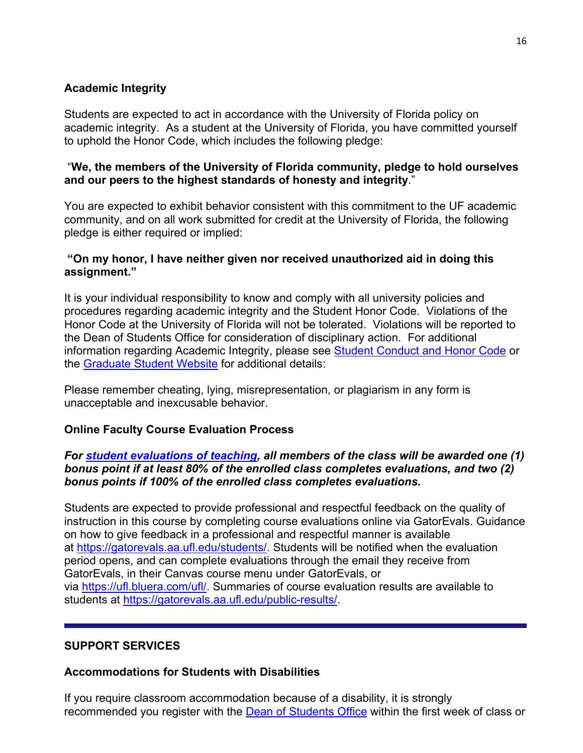# **Academic Integrity**

Students are expected to act in accordance with the University of Florida policy on academic integrity. As a student at the University of Florida, you have committed yourself to uphold the Honor Code, which includes the following pledge:

## "**We, the members of the University of Florida community, pledge to hold ourselves and our peers to the highest standards of honesty and integrity**."

You are expected to exhibit behavior consistent with this commitment to the UF academic community, and on all work submitted for credit at the University of Florida, the following pledge is either required or implied:

## **"On my honor, I have neither given nor received unauthorized aid in doing this assignment."**

It is your individual responsibility to know and comply with all university policies and procedures regarding academic integrity and the Student Honor Code. Violations of the Honor Code at the University of Florida will not be tolerated. Violations will be reported to the Dean of Students Office for consideration of disciplinary action. For additional information regarding Academic Integrity, please see Student [Conduct](https://www.dso.ufl.edu/sccr/process/student-conduct-honor-code/) and Honor Code or the [Graduate](http://gradschool.ufl.edu/students/introduction.html) Student Website for additional details:

Please remember cheating, lying, misrepresentation, or plagiarism in any form is unacceptable and inexcusable behavior.

## **Online Faculty Course Evaluation Process**

## *For [student evaluations of teaching,](https://ufl.blueera.com/ufl/) all members of the class will be awarded one (1) bonus point if at least 80% of the enrolled class completes evaluations, and two (2) bonus points if 100% of the enrolled class completes evaluations.*

Students are expected to provide professional and respectful feedback on the quality of instruction in this course by completing course evaluations online via GatorEvals. Guidance on how to give feedback in a professional and respectful manner is available at [https://gatorevals.aa.ufl.edu/students/.](https://gatorevals.aa.ufl.edu/students/) Students will be notified when the evaluation period opens, and can complete evaluations through the email they receive from GatorEvals, in their Canvas course menu under GatorEvals, or via [https://ufl.bluera.com/ufl/.](https://urldefense.proofpoint.com/v2/url?u=https-3A__ufl.bluera.com_ufl_&d=DwMFAg&c=sJ6xIWYx-zLMB3EPkvcnVg&r=y2HjEMjRMHJhfdvLrqJZlYczRsfp5e4TfQjHuc5rVHg&m=WXko6OK_Ha6T00ZVAsEaSh99qRXHOgMNFRywCoehRho&s=itVU46DDJjnIg4CW6efJOOLgPjdzsPvCghyfzJoFONs&e=) Summaries of course evaluation results are available to students at [https://gatorevals.aa.ufl.edu/public-results/.](https://gatorevals.aa.ufl.edu/public-results/)

# **SUPPORT SERVICES**

## **Accommodations for Students with Disabilities**

If you require classroom accommodation because of a disability, it is strongly recommended you register with the [Dean of Students Office](http://www.dso.ufl.edu/) within the first week of class or